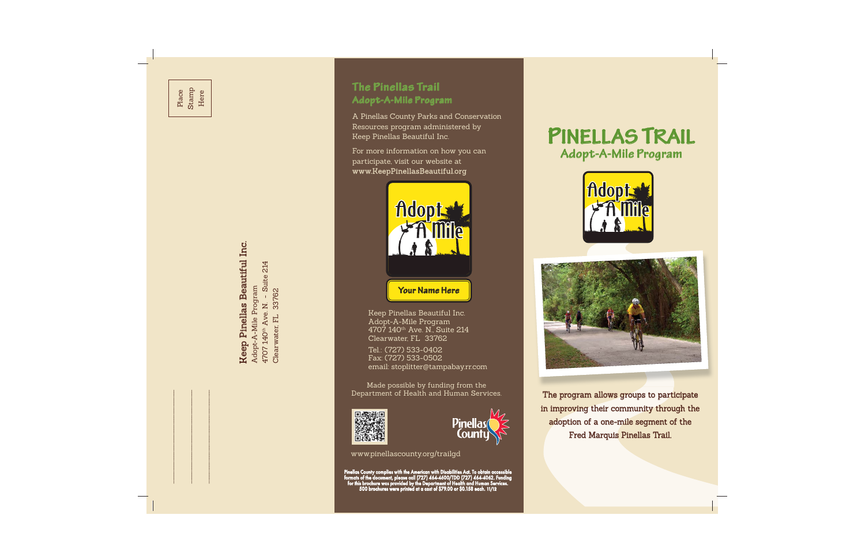Keep Pinellas Beautiful Inc. **Keep Pinellas Beautiful Inc.** Adopt-A-Mile Program Adopt-A-Mile Program

4707 140th Ave. N. - Suite 214 Suite 214 33762  $\bar{1}$ 4707 140<sup>th</sup> Ave. N. Clearwater, FL

Clearwater, FL 33762

# $\Gamma$ he Pinella $\epsilon$  Trail **Adopt-A-Mile Program A d o p t-A-Mile P r o g ra m**

A Pinellas County Parks and Conservation Resources program administered by Keep Pinellas Beautiful Inc.

For more information on how you can participate, visit our website at www.KeepPinellasBeautiful.org



Keep Pinellas Beautiful Inc. Adopt-A-Mile Program 4707 140th Ave. N., Suite 214 Clearwater, FL 33762

Tel.: (727) 533-0402 Fax: (727) 533-0502 email: stoplitter@tampabay.rr.com

Made possible by funding from the Department of Health and Human Services.





www.pinellascounty.org/trailgd

Pinellas County complies with the American with Disabilities Act. To obtain accessible<br>formats of the document, please call (727) 464-4600/TDD (727) 464-4062. Funding<br>for this brochure was provided by the Department of Hea

# **PINELLAS I NEL L AS TRAIL Adopt-A-Mile Program A d o p t - A - Mile P r o g ra m**





The program allows groups to participate in improving their community through the adoption of a one-mile segment of the Fred Marquis Pinellas Trail.